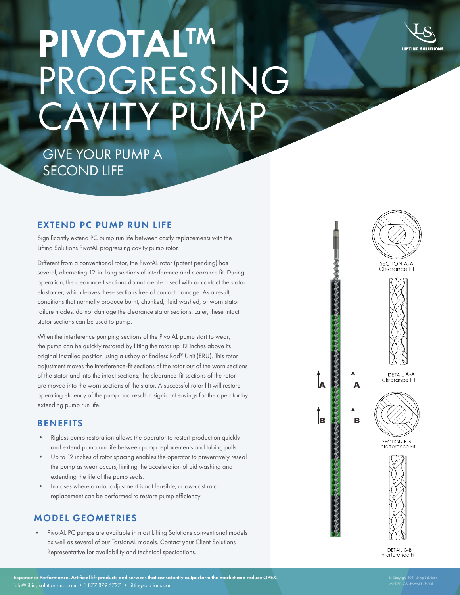

# **PIVOTALTM** PROGRESSING CAVITY PUMP

## GIVE YOUR PUMP A SECOND LIFE

#### EXTEND PC PUMP RUN LIFE

Significantly extend PC pump run life between costly replacements with the Lifting Solutions PivotAL progressing cavity pump rotor.

Different from a conventional rotor, the PivotAL rotor (patent pending) has several, alternating 12-in. long sections of interference and clearance fit. During operation, the clearance t sections do not create a seal with or contact the stator elastomer, which leaves these sections free of contact damage. As a result, conditions that normally produce burnt, chunked, fluid washed, or worn stator failure modes, do not damage the clearance stator sections. Later, these intact stator sections can be used to pump.

When the interference pumping sections of the PivotAL pump start to wear, the pump can be quickly restored by lifting the rotor up 12 inches above its original installed position using a ushby or Endless Rod® Unit (ERU). This rotor adjustment moves the interference-fit sections of the rotor out of the worn sections of the stator and into the intact sections; the clearance-fit sections of the rotor are moved into the worn sections of the stator. A successful rotor lift will restore operating efciency of the pump and result in signicant savings for the operator by extending pump run life.

### **BENEFITS**

- Rigless pump restoration allows the operator to restart production quickly and extend pump run life between pump replacements and tubing pulls.
- Up to 12 inches of rotor spacing enables the operator to preventively reseal the pump as wear occurs, limiting the acceleration of uid washing and extending the life of the pump seals.
- In cases where a rotor adjustment is not feasible, a low-cost rotor replacement can be performed to restore pump efficiency.

### MODEL GEOMETRIES

• PivotAL PC pumps are available in most Lifting Solutions conventional models as well as several of our TorsionAL models. Contact your Client Solutions Representative for availability and technical specications.